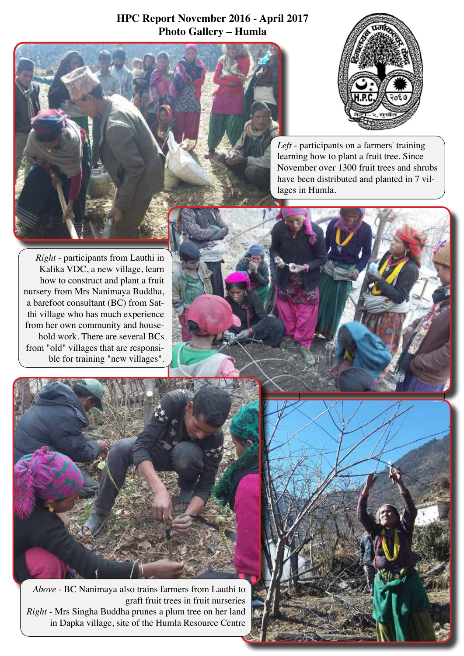## **HPC Report November 2016 - April 2017 Photo Gallery – Humla**



*Left* - participants on a farmers' training learning how to plant a fruit tree. Since November over 1300 fruit trees and shrubs have been distributed and planted in 7 villages in Humla.

*Right* - participants from Lauthi in Kalika VDC, a new village, learn how to construct and plant a fruit nursery from Mrs Nanimaya Buddha, a barefoot consultant (BC) from Satthi village who has much experience from her own community and household work. There are several BCs from "old" villages that are responsible for training "new villages".



*Above* - BC Nanimaya also trains farmers from Lauthi to graft fruit trees in fruit nurseries *Right* - Mrs Singha Buddha prunes a plum tree on her land in Dapka village, site of the Humla Resource Centre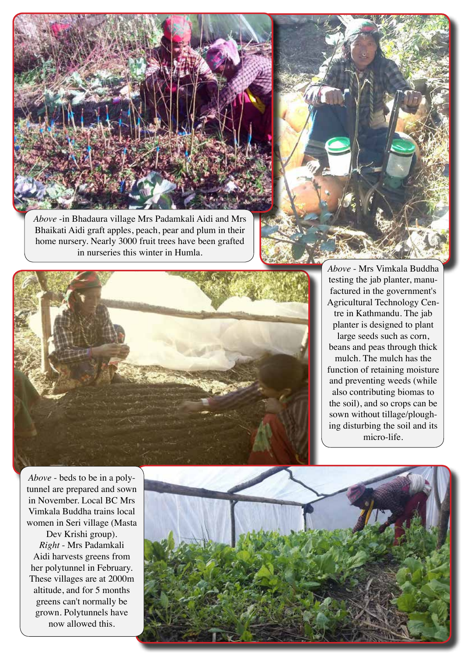

*Above* -in Bhadaura village Mrs Padamkali Aidi and Mrs Bhaikati Aidi graft apples, peach, pear and plum in their home nursery. Nearly 3000 fruit trees have been grafted in nurseries this winter in Humla.





*Above* - Mrs Vimkala Buddha testing the jab planter, manufactured in the government's Agricultural Technology Centre in Kathmandu. The jab planter is designed to plant large seeds such as corn, beans and peas through thick mulch. The mulch has the function of retaining moisture and preventing weeds (while also contributing biomas to the soil), and so crops can be sown without tillage/ploughing disturbing the soil and its micro-life.

*Above* - beds to be in a polytunnel are prepared and sown in November. Local BC Mrs Vimkala Buddha trains local women in Seri village (Masta

Dev Krishi group). *Right* - Mrs Padamkali Aidi harvests greens from her polytunnel in February. These villages are at 2000m altitude, and for 5 months greens can't normally be grown. Polytunnels have now allowed this.

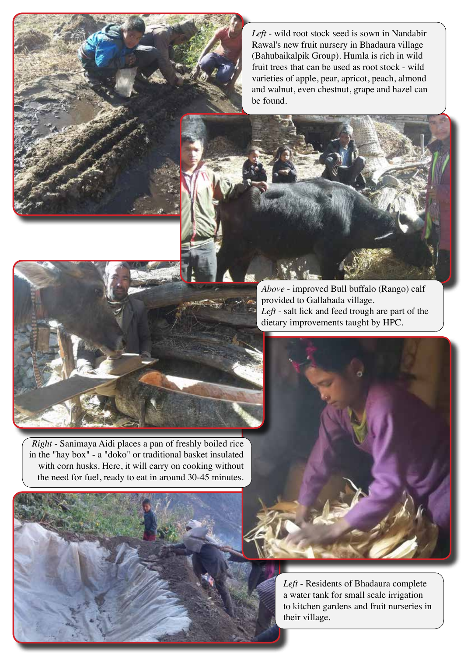*Left* - wild root stock seed is sown in Nandabir Rawal's new fruit nursery in Bhadaura village (Bahubaikalpik Group). Humla is rich in wild fruit trees that can be used as root stock - wild varieties of apple, pear, apricot, peach, almond and walnut, even chestnut, grape and hazel can be found.

*Above* - improved Bull buffalo (Rango) calf provided to Gallabada village. *Left* - salt lick and feed trough are part of the dietary improvements taught by HPC.

*Right* - Sanimaya Aidi places a pan of freshly boiled rice in the "hay box" - a "doko" or traditional basket insulated with corn husks. Here, it will carry on cooking without the need for fuel, ready to eat in around 30-45 minutes.